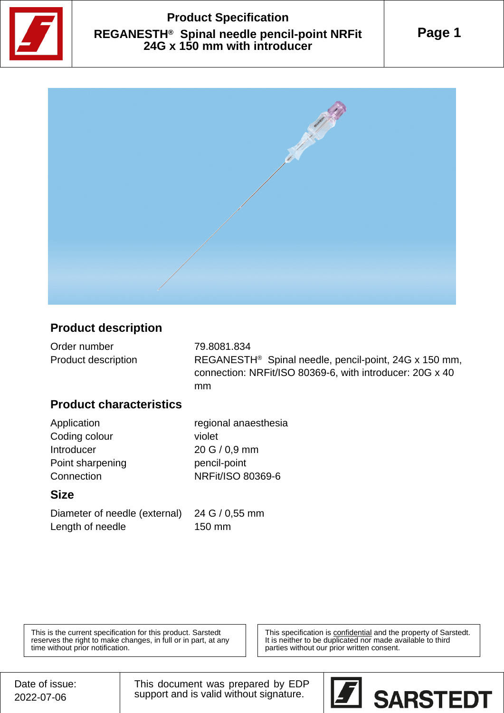

# **Product Specification REGANESTH® Spinal needle pencil-point NRFit 24G x 150 mm with introducer**





### **Product description**

| Order number               | 79.8081.834                                                       |
|----------------------------|-------------------------------------------------------------------|
| <b>Product description</b> | REGANESTH <sup>®</sup> Spinal needle, pencil-point, 24G x 150 mm, |
|                            | connection: NRFit/ISO 80369-6, with introducer: 20G x 40          |
|                            | mm                                                                |

### **Product characteristics**

| regional anaesthesia |
|----------------------|
| violet               |
| 20 G / 0,9 mm        |
| pencil-point         |
| NRFit/ISO 80369-6    |
|                      |

## **Size**

| Diameter of needle (external) | 24 G / 0 |
|-------------------------------|----------|
| Length of needle              | 150 mm   |

 $/$  0,55 mm

This is the current specification for this product. Sarstedt reserves the right to make changes, in full or in part, at any time without prior notification.

This specification is **confidential** and the property of Sarstedt. It is neither to be duplicated nor made available to third parties without our prior written consent.

This document was prepared by EDP support and is valid without signature.